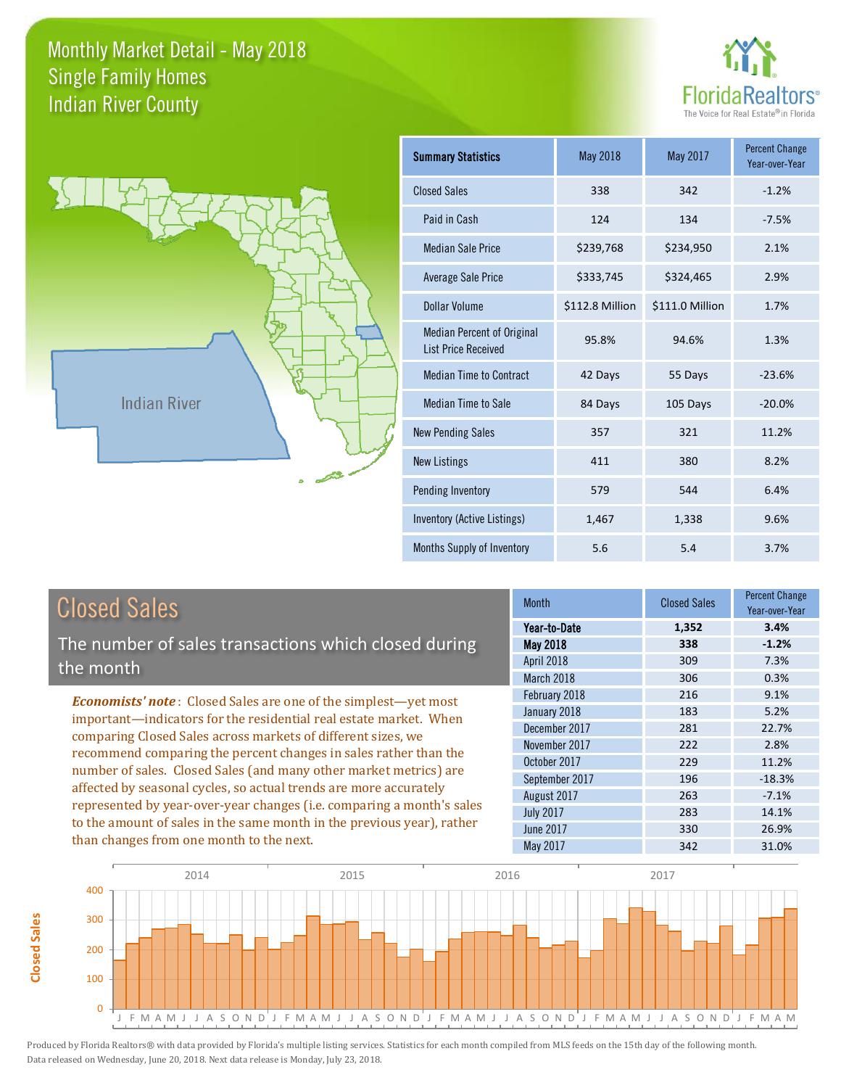



| <b>Summary Statistics</b>                                       | <b>May 2018</b> | May 2017        | <b>Percent Change</b><br>Year-over-Year |
|-----------------------------------------------------------------|-----------------|-----------------|-----------------------------------------|
| <b>Closed Sales</b>                                             | 338             | 342             | $-1.2%$                                 |
| Paid in Cash                                                    | 124             | 134             | $-7.5%$                                 |
| Median Sale Price                                               | \$239,768       | \$234,950       | 2.1%                                    |
| <b>Average Sale Price</b>                                       | \$333,745       | \$324,465       | 2.9%                                    |
| Dollar Volume                                                   | \$112.8 Million | \$111.0 Million | 1.7%                                    |
| <b>Median Percent of Original</b><br><b>List Price Received</b> | 95.8%           | 94.6%           | 1.3%                                    |
| <b>Median Time to Contract</b>                                  | 42 Days         | 55 Days         | $-23.6%$                                |
| <b>Median Time to Sale</b>                                      | 84 Days         | 105 Days        | $-20.0%$                                |
| <b>New Pending Sales</b>                                        | 357             | 321             | 11.2%                                   |
| <b>New Listings</b>                                             | 411             | 380             | 8.2%                                    |
| Pending Inventory                                               | 579             | 544             | 6.4%                                    |
| Inventory (Active Listings)                                     | 1,467           | 1,338           | 9.6%                                    |
| Months Supply of Inventory                                      | 5.6             | 5.4             | 3.7%                                    |

|--|

**Closed Sales**

Closed Sales

The number of sales transactions which closed during the month

*Economists' note* : Closed Sales are one of the simplest—yet most important—indicators for the residential real estate market. When comparing Closed Sales across markets of different sizes, we recommend comparing the percent changes in sales rather than the number of sales. Closed Sales (and many other market metrics) are affected by seasonal cycles, so actual trends are more accurately represented by year-over-year changes (i.e. comparing a month's sales to the amount of sales in the same month in the previous year), rather than changes from one month to the next.

| <b>Month</b>     | <b>Closed Sales</b> | <b>Percent Change</b><br>Year-over-Year |
|------------------|---------------------|-----------------------------------------|
| Year-to-Date     | 1,352               | 3.4%                                    |
| May 2018         | 338                 | $-1.2%$                                 |
| April 2018       | 309                 | 7.3%                                    |
| March 2018       | 306                 | 0.3%                                    |
| February 2018    | 216                 | 9.1%                                    |
| January 2018     | 183                 | 5.2%                                    |
| December 2017    | 281                 | 22.7%                                   |
| November 2017    | 222                 | 2.8%                                    |
| October 2017     | 229                 | 11.2%                                   |
| September 2017   | 196                 | $-18.3%$                                |
| August 2017      | 263                 | $-7.1%$                                 |
| <b>July 2017</b> | 283                 | 14.1%                                   |
| June 2017        | 330                 | 26.9%                                   |
| <b>May 2017</b>  | 342                 | 31.0%                                   |

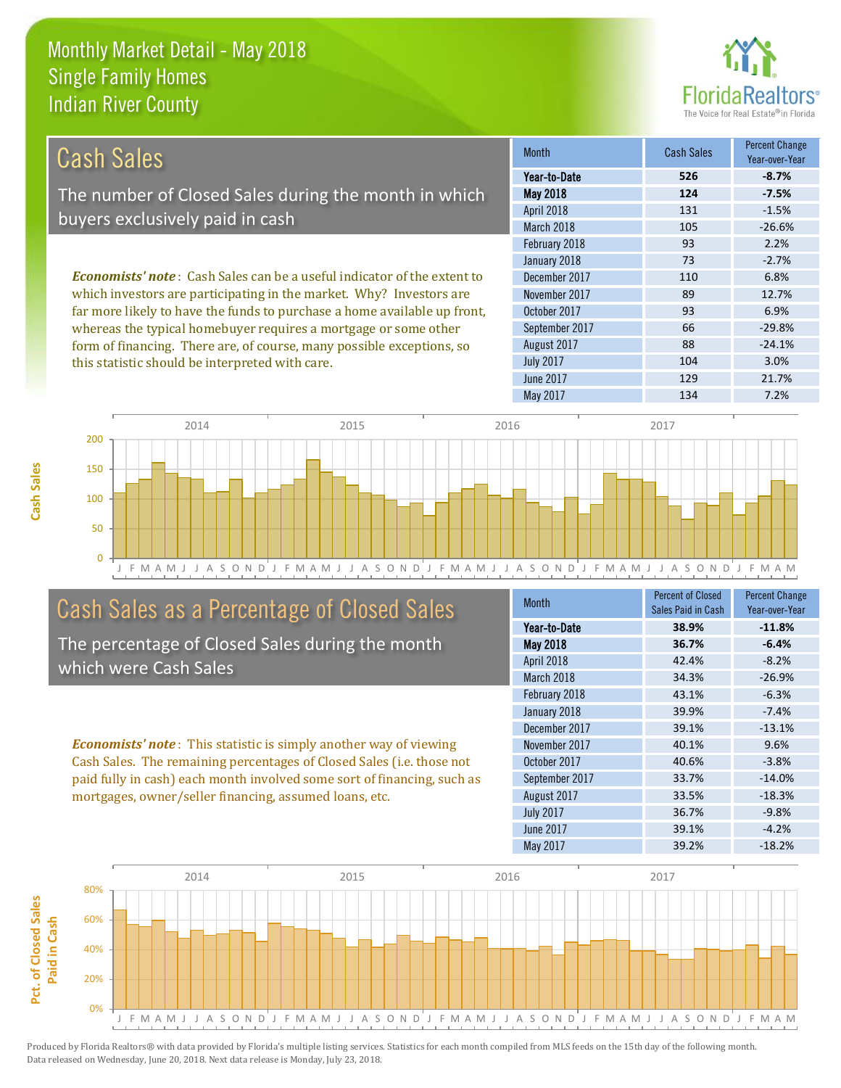this statistic should be interpreted with care.



104 3.0%

| Cash Sales                                                                     | <b>Month</b>      | <b>Cash Sales</b> | <b>Percent Change</b><br>Year-over-Year |
|--------------------------------------------------------------------------------|-------------------|-------------------|-----------------------------------------|
|                                                                                | Year-to-Date      | 526               | $-8.7%$                                 |
| The number of Closed Sales during the month in which                           | <b>May 2018</b>   | 124               | $-7.5%$                                 |
|                                                                                | <b>April 2018</b> | 131               | $-1.5%$                                 |
| buyers exclusively paid in cash                                                | March 2018        | 105               | $-26.6%$                                |
|                                                                                | February 2018     | 93                | 2.2%                                    |
|                                                                                | January 2018      | 73                | $-2.7%$                                 |
| <b>Economists' note:</b> Cash Sales can be a useful indicator of the extent to | December 2017     | 110               | 6.8%                                    |
| which investors are participating in the market. Why? Investors are            | November 2017     | 89                | 12.7%                                   |
| far more likely to have the funds to purchase a home available up front,       | October 2017      | 93                | 6.9%                                    |
| whereas the typical homebuyer requires a mortgage or some other                | September 2017    | 66                | $-29.8%$                                |
| form of financing. There are, of course, many possible exceptions, so          | August 2017       | 88                | $-24.1%$                                |

J F M A M J J A S O N D J F M A M J J A S O N D J F M A M J J A S O N D J F M A M J J A S O N D J F M A M  $\Omega$ 50 100 150 200 2014 2015 2015 2016 2017 2018 2017

# Cash Sales as a Percentage of Closed Sales

The percentage of Closed Sales during the month which were Cash Sales

*Economists' note* : This statistic is simply another way of viewing Cash Sales. The remaining percentages of Closed Sales (i.e. those not paid fully in cash) each month involved some sort of financing, such as mortgages, owner/seller financing, assumed loans, etc.

| <b>Month</b>     | <b>Percent of Closed</b> | <b>Percent Change</b> |
|------------------|--------------------------|-----------------------|
|                  | Sales Paid in Cash       | Year-over-Year        |
| Year-to-Date     | 38.9%                    | $-11.8%$              |
| May 2018         | 36.7%                    | $-6.4%$               |
| April 2018       | 42.4%                    | $-8.2%$               |
| March 2018       | 34.3%                    | $-26.9%$              |
| February 2018    | 43.1%                    | $-6.3%$               |
| January 2018     | 39.9%                    | $-7.4%$               |
| December 2017    | 39.1%                    | $-13.1%$              |
| November 2017    | 40.1%                    | 9.6%                  |
| October 2017     | 40.6%                    | $-3.8%$               |
| September 2017   | 33.7%                    | $-14.0%$              |
| August 2017      | 33.5%                    | $-18.3%$              |
| <b>July 2017</b> | 36.7%                    | $-9.8%$               |
| <b>June 2017</b> | 39.1%                    | $-4.2%$               |
| May 2017         | 39.2%                    | $-18.2%$              |

June 2017 **129** 21.7%

July 2017

May 2017 134 7.2%

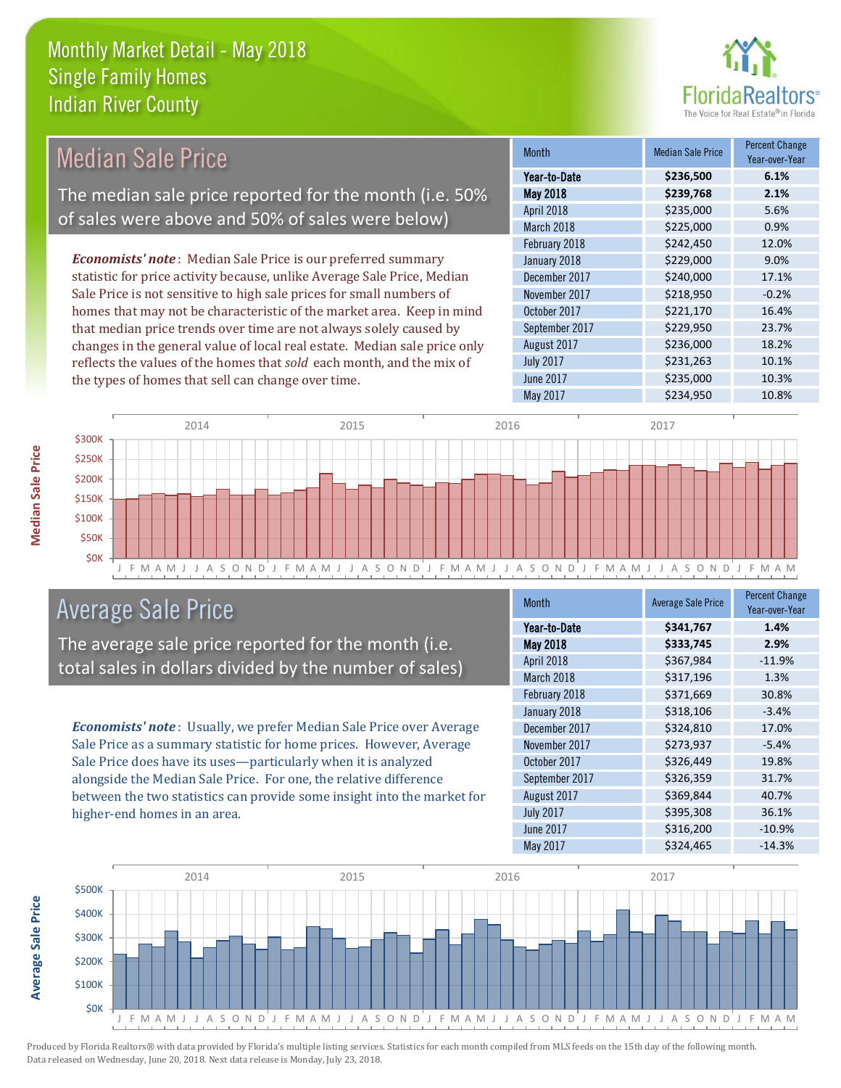the types of homes that sell can change over time.



| Median Sale Price                                                         | <b>Month</b>      | <b>Median Sale Price</b> | <b>Percent Change</b><br>Year-over-Year |
|---------------------------------------------------------------------------|-------------------|--------------------------|-----------------------------------------|
|                                                                           | Year-to-Date      | \$236,500                | 6.1%                                    |
| The median sale price reported for the month (i.e. 50%                    | <b>May 2018</b>   | \$239,768                | 2.1%                                    |
|                                                                           | <b>April 2018</b> | \$235,000                | 5.6%                                    |
| of sales were above and 50% of sales were below)                          | March 2018        | \$225,000                | 0.9%                                    |
|                                                                           | February 2018     | \$242,450                | 12.0%                                   |
| <b>Economists' note:</b> Median Sale Price is our preferred summary       | January 2018      | \$229,000                | 9.0%                                    |
| statistic for price activity because, unlike Average Sale Price, Median   | December 2017     | \$240,000                | 17.1%                                   |
| Sale Price is not sensitive to high sale prices for small numbers of      | November 2017     | \$218,950                | $-0.2%$                                 |
| homes that may not be characteristic of the market area. Keep in mind     | October 2017      | \$221,170                | 16.4%                                   |
| that median price trends over time are not always solely caused by        | September 2017    | \$229,950                | 23.7%                                   |
| changes in the general value of local real estate. Median sale price only | August 2017       | \$236,000                | 18.2%                                   |
| reflects the values of the homes that sold each month, and the mix of     | <b>July 2017</b>  | \$231,263                | 10.1%                                   |



# Average Sale Price

The average sale price reported for the month (i.e. total sales in dollars divided by the number of sales)

*Economists' note* : Usually, we prefer Median Sale Price over Average Sale Price as a summary statistic for home prices. However, Average Sale Price does have its uses—particularly when it is analyzed alongside the Median Sale Price. For one, the relative difference between the two statistics can provide some insight into the market for higher-end homes in an area.

| <b>Month</b>     | <b>Average Sale Price</b> | <b>Percent Change</b><br>Year-over-Year |
|------------------|---------------------------|-----------------------------------------|
| Year-to-Date     | \$341,767                 | 1.4%                                    |
| <b>May 2018</b>  | \$333,745                 | 2.9%                                    |
| April 2018       | \$367,984                 | $-11.9%$                                |
| March 2018       | \$317,196                 | 1.3%                                    |
| February 2018    | \$371,669                 | 30.8%                                   |
| January 2018     | \$318,106                 | $-3.4%$                                 |
| December 2017    | \$324,810                 | 17.0%                                   |
| November 2017    | \$273,937                 | $-5.4%$                                 |
| October 2017     | \$326,449                 | 19.8%                                   |
| September 2017   | \$326,359                 | 31.7%                                   |
| August 2017      | \$369,844                 | 40.7%                                   |
| <b>July 2017</b> | \$395,308                 | 36.1%                                   |
| <b>June 2017</b> | \$316,200                 | $-10.9%$                                |
| May 2017         | \$324,465                 | $-14.3%$                                |

May 2017 **\$234,950** \$234,950 10.8%

June 2017 **\$235,000 10.3%** 



Produced by Florida Realtors® with data provided by Florida's multiple listing services. Statistics for each month compiled from MLS feeds on the 15th day of the following month. Data released on Wednesday, June 20, 2018. Next data release is Monday, July 23, 2018.

**Average Sale Price**

**Average Sale Price**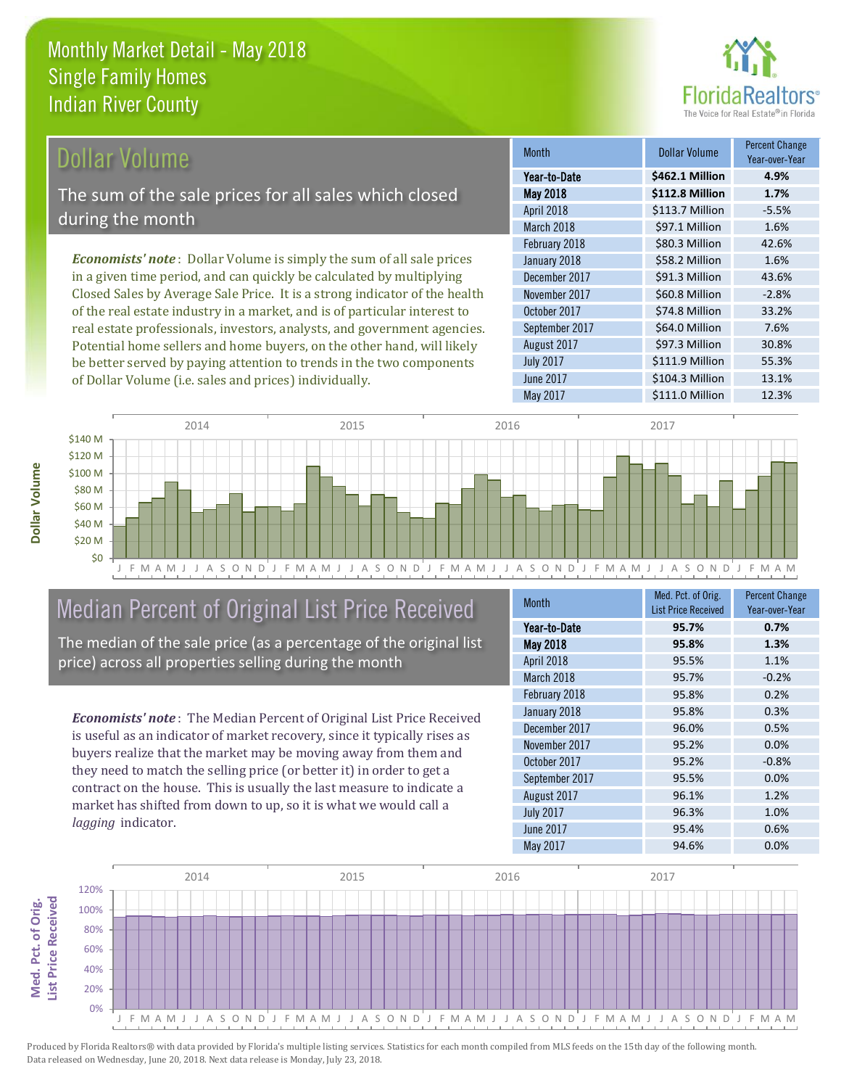

# Dollar Volume

The sum of the sale prices for all sales which closed during the month

*Economists' note* : Dollar Volume is simply the sum of all sale prices in a given time period, and can quickly be calculated by multiplying Closed Sales by Average Sale Price. It is a strong indicator of the health of the real estate industry in a market, and is of particular interest to real estate professionals, investors, analysts, and government agencies. Potential home sellers and home buyers, on the other hand, will likely be better served by paying attention to trends in the two components of Dollar Volume (i.e. sales and prices) individually.

| <b>Month</b>     | <b>Dollar Volume</b> | <b>Percent Change</b><br>Year-over-Year |
|------------------|----------------------|-----------------------------------------|
| Year-to-Date     | \$462.1 Million      | 4.9%                                    |
| May 2018         | \$112.8 Million      | 1.7%                                    |
| April 2018       | \$113.7 Million      | $-5.5%$                                 |
| March 2018       | \$97.1 Million       | 1.6%                                    |
| February 2018    | \$80.3 Million       | 42.6%                                   |
| January 2018     | \$58.2 Million       | 1.6%                                    |
| December 2017    | \$91.3 Million       | 43.6%                                   |
| November 2017    | \$60.8 Million       | $-2.8%$                                 |
| October 2017     | \$74.8 Million       | 33.2%                                   |
| September 2017   | \$64.0 Million       | 7.6%                                    |
| August 2017      | \$97.3 Million       | 30.8%                                   |
| <b>July 2017</b> | \$111.9 Million      | 55.3%                                   |
| <b>June 2017</b> | \$104.3 Million      | 13.1%                                   |
| <b>May 2017</b>  | \$111.0 Million      | 12.3%                                   |



# Median Percent of Original List Price Received

The median of the sale price (as a percentage of the original list price) across all properties selling during the month

*Economists' note* : The Median Percent of Original List Price Received is useful as an indicator of market recovery, since it typically rises as buyers realize that the market may be moving away from them and they need to match the selling price (or better it) in order to get a contract on the house. This is usually the last measure to indicate a market has shifted from down to up, so it is what we would call a *lagging* indicator.

| <b>Month</b>     | Med. Pct. of Orig.         | <b>Percent Change</b> |
|------------------|----------------------------|-----------------------|
|                  | <b>List Price Received</b> | Year-over-Year        |
| Year-to-Date     | 95.7%                      | 0.7%                  |
| May 2018         | 95.8%                      | 1.3%                  |
| April 2018       | 95.5%                      | 1.1%                  |
| March 2018       | 95.7%                      | $-0.2%$               |
| February 2018    | 95.8%                      | 0.2%                  |
| January 2018     | 95.8%                      | 0.3%                  |
| December 2017    | 96.0%                      | 0.5%                  |
| November 2017    | 95.2%                      | 0.0%                  |
| October 2017     | 95.2%                      | $-0.8%$               |
| September 2017   | 95.5%                      | 0.0%                  |
| August 2017      | 96.1%                      | 1.2%                  |
| <b>July 2017</b> | 96.3%                      | 1.0%                  |
| June 2017        | 95.4%                      | 0.6%                  |
| May 2017         | 94.6%                      | 0.0%                  |

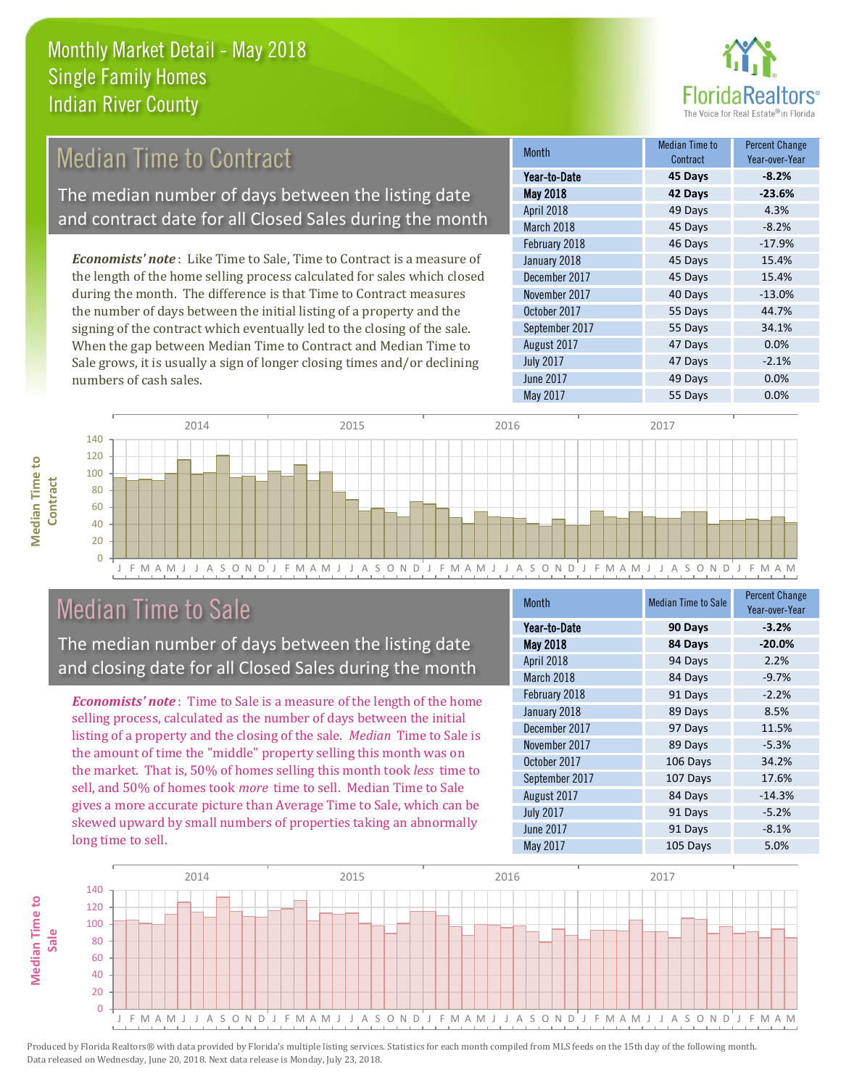

#### *Economists' note* : Like Time to Sale, Time to Contract is a measure of the length of the home selling process calculated for sales which closed during the month. The difference is that Time to Contract measures the number of days between the initial listing of a property and the signing of the contract which eventually led to the closing of the sale. When the gap between Median Time to Contract and Median Time to 47 Days 0.0% August 2017 January 2018 **45 Days** 15.4% December 2017 **45 Days** 15.4% November 2017 **40 Days** -13.0% October 2017 **55 Days** 44.7% September 2017 **55 Days** 34.1% Month Month Median Time to **Contract** Percent Change Year-over-Year May 2018 **42 Days -23.6%** Year-to-Date **45 Days -8.2%** April 2018 **49 Days** 4.3% March 2018 **45 Days** -8.2% February 2018 **46 Days** -17.9% Median Time to Contract The median number of days between the listing date and contract date for all Closed Sales during the month

J F M A M J J A S O N D J F M A M J J A S O N D J F M A M J J A S O N D J F M A M J J A S O N D J F M A M  $\Omega$ 20 40 60 80 100 120 140 2014 2015 2015 2016 2017 2018 2017

# Median Time to Sale

numbers of cash sales.

**Median Time to Contract**

**Median Time to** 

The median number of days between the listing date and closing date for all Closed Sales during the month

Sale grows, it is usually a sign of longer closing times and/or declining

*Economists' note* : Time to Sale is a measure of the length of the home selling process, calculated as the number of days between the initial listing of a property and the closing of the sale. *Median* Time to Sale is the amount of time the "middle" property selling this month was on the market. That is, 50% of homes selling this month took *less* time to sell, and 50% of homes took *more* time to sell. Median Time to Sale gives a more accurate picture than Average Time to Sale, which can be skewed upward by small numbers of properties taking an abnormally long time to sell.

| <b>Month</b>     | <b>Median Time to Sale</b> | <b>Percent Change</b><br>Year-over-Year |
|------------------|----------------------------|-----------------------------------------|
| Year-to-Date     | 90 Days                    | $-3.2%$                                 |
| May 2018         | 84 Days                    | $-20.0%$                                |
| April 2018       | 94 Days                    | 2.2%                                    |
| March 2018       | 84 Days                    | $-9.7%$                                 |
| February 2018    | 91 Days                    | $-2.2%$                                 |
| January 2018     | 89 Days                    | 8.5%                                    |
| December 2017    | 97 Days                    | 11.5%                                   |
| November 2017    | 89 Days                    | $-5.3%$                                 |
| October 2017     | 106 Days                   | 34.2%                                   |
| September 2017   | 107 Days                   | 17.6%                                   |
| August 2017      | 84 Days                    | $-14.3%$                                |
| <b>July 2017</b> | 91 Days                    | $-5.2%$                                 |
| <b>June 2017</b> | 91 Days                    | $-8.1%$                                 |
| May 2017         | 105 Days                   | 5.0%                                    |

June 2017 **49 Days 0.0%** May 2017 **6.00%** 55 Days 0.0%

July 2017 **47 Days** -2.1%

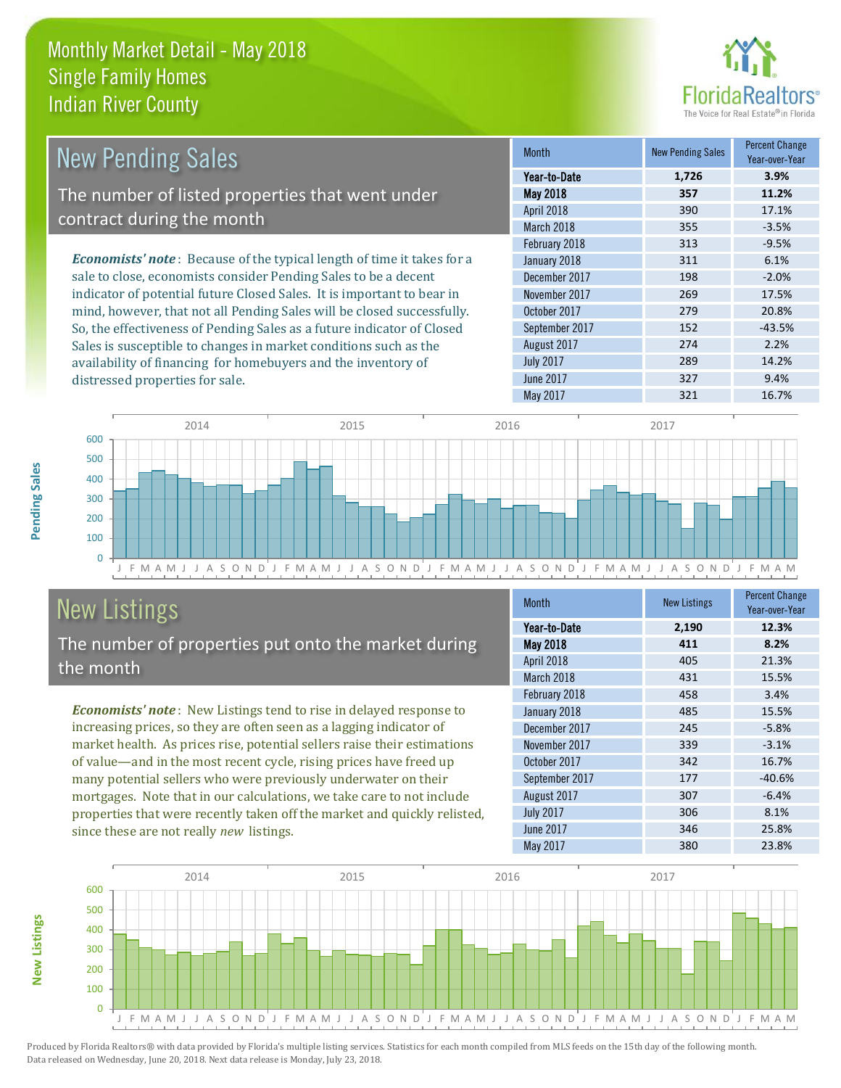distressed properties for sale.



| New Pending Sales                                                             | <b>Month</b>      | <b>New Pending Sales</b> | <b>Percent Change</b><br>Year-over-Year |
|-------------------------------------------------------------------------------|-------------------|--------------------------|-----------------------------------------|
|                                                                               | Year-to-Date      | 1,726                    | 3.9%                                    |
| The number of listed properties that went under                               | <b>May 2018</b>   | 357                      | 11.2%                                   |
|                                                                               | <b>April 2018</b> | 390                      | 17.1%                                   |
| contract during the month                                                     | March 2018        | 355                      | $-3.5%$                                 |
|                                                                               | February 2018     | 313                      | $-9.5%$                                 |
| <b>Economists' note:</b> Because of the typical length of time it takes for a | January 2018      | 311                      | 6.1%                                    |
| sale to close, economists consider Pending Sales to be a decent               | December 2017     | 198                      | $-2.0%$                                 |
| indicator of potential future Closed Sales. It is important to bear in        | November 2017     | 269                      | 17.5%                                   |
| mind, however, that not all Pending Sales will be closed successfully.        | October 2017      | 279                      | 20.8%                                   |
| So, the effectiveness of Pending Sales as a future indicator of Closed        | September 2017    | 152                      | $-43.5%$                                |
| Sales is susceptible to changes in market conditions such as the              | August 2017       | 274                      | 2.2%                                    |
| availability of financing for homebuyers and the inventory of                 | <b>July 2017</b>  | 289                      | 14.2%                                   |



# New Listings

The number of properties put onto the market during the month

*Economists' note* : New Listings tend to rise in delayed response to increasing prices, so they are often seen as a lagging indicator of market health. As prices rise, potential sellers raise their estimations of value—and in the most recent cycle, rising prices have freed up many potential sellers who were previously underwater on their mortgages. Note that in our calculations, we take care to not include properties that were recently taken off the market and quickly relisted, since these are not really *new* listings.

| <b>Month</b>     | <b>New Listings</b> | <b>Percent Change</b><br>Year-over-Year |
|------------------|---------------------|-----------------------------------------|
| Year-to-Date     | 2,190               | 12.3%                                   |
| <b>May 2018</b>  | 411                 | 8.2%                                    |
| April 2018       | 405                 | 21.3%                                   |
| March 2018       | 431                 | 15.5%                                   |
| February 2018    | 458                 | 3.4%                                    |
| January 2018     | 485                 | 15.5%                                   |
| December 2017    | 245                 | $-5.8%$                                 |
| November 2017    | 339                 | $-3.1%$                                 |
| October 2017     | 342                 | 16.7%                                   |
| September 2017   | 177                 | $-40.6%$                                |
| August 2017      | 307                 | $-6.4%$                                 |
| <b>July 2017</b> | 306                 | 8.1%                                    |
| <b>June 2017</b> | 346                 | 25.8%                                   |
| May 2017         | 380                 | 23.8%                                   |

June 2017 **327** 9.4%



Produced by Florida Realtors® with data provided by Florida's multiple listing services. Statistics for each month compiled from MLS feeds on the 15th day of the following month. Data released on Wednesday, June 20, 2018. Next data release is Monday, July 23, 2018.

**New Listings**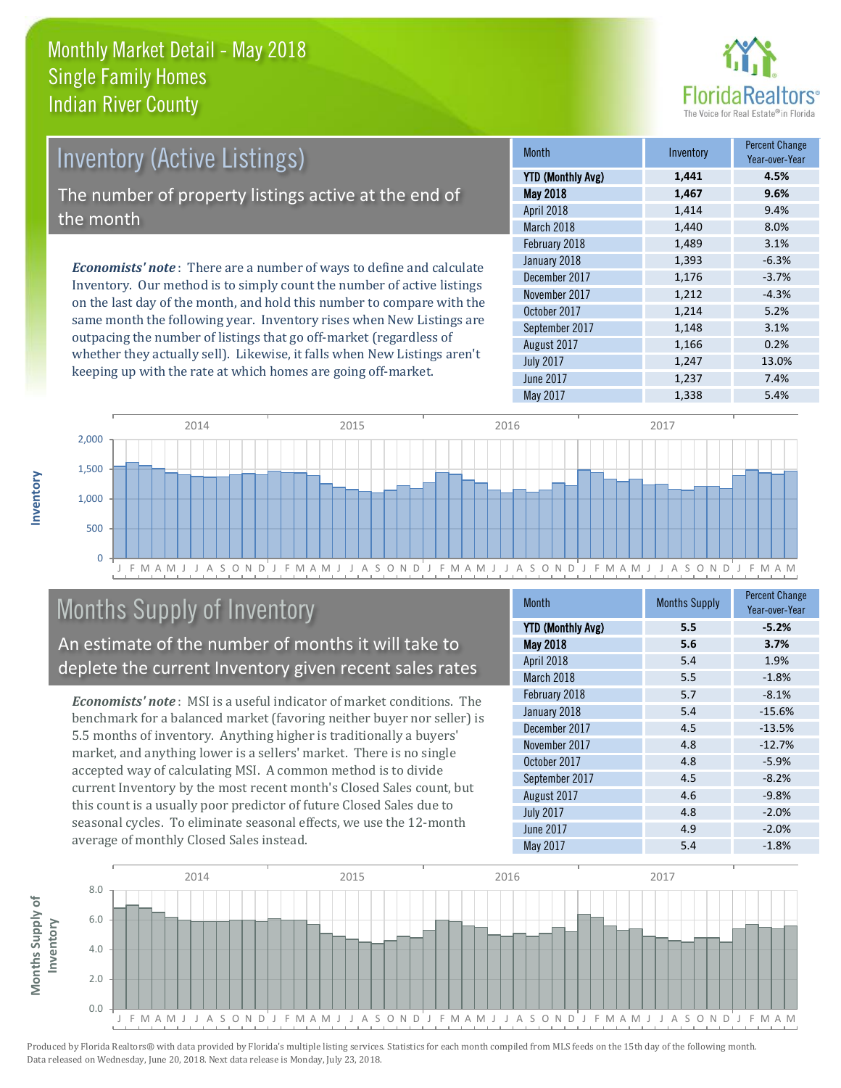

| <b>Inventory (Active Listings)</b>                                |        |                                                                              |  |
|-------------------------------------------------------------------|--------|------------------------------------------------------------------------------|--|
|                                                                   | YTD (M |                                                                              |  |
| The number of property listings active at the end of<br>the month |        |                                                                              |  |
|                                                                   |        | <b>Economists' note</b> : There are a number of ways to define and calculate |  |
|                                                                   |        |                                                                              |  |

Inventory. Our method is to simply count the number of active listings on the last day of the month, and hold this number to compare with the same month the following year. Inventory rises when New Listings are outpacing the number of listings that go off-market (regardless of whether they actually sell). Likewise, it falls when New Listings aren't keeping up with the rate at which homes are going off-market.

| <b>Month</b>             | Inventory | <b>Percent Change</b><br>Year-over-Year |
|--------------------------|-----------|-----------------------------------------|
| <b>YTD (Monthly Avg)</b> | 1,441     | 4.5%                                    |
| May 2018                 | 1,467     | 9.6%                                    |
| April 2018               | 1,414     | 9.4%                                    |
| March 2018               | 1,440     | 8.0%                                    |
| February 2018            | 1,489     | 3.1%                                    |
| January 2018             | 1,393     | $-6.3%$                                 |
| December 2017            | 1,176     | $-3.7%$                                 |
| November 2017            | 1,212     | $-4.3%$                                 |
| October 2017             | 1,214     | 5.2%                                    |
| September 2017           | 1,148     | 3.1%                                    |
| August 2017              | 1,166     | 0.2%                                    |
| <b>July 2017</b>         | 1,247     | 13.0%                                   |
| <b>June 2017</b>         | 1,237     | 7.4%                                    |
| May 2017                 | 1,338     | 5.4%                                    |



# Months Supply of Inventory

An estimate of the number of months it will take to deplete the current Inventory given recent sales rates

*Economists' note* : MSI is a useful indicator of market conditions. The benchmark for a balanced market (favoring neither buyer nor seller) is 5.5 months of inventory. Anything higher is traditionally a buyers' market, and anything lower is a sellers' market. There is no single accepted way of calculating MSI. A common method is to divide current Inventory by the most recent month's Closed Sales count, but this count is a usually poor predictor of future Closed Sales due to seasonal cycles. To eliminate seasonal effects, we use the 12-month average of monthly Closed Sales instead.

| <b>Month</b>             | <b>Months Supply</b> | <b>Percent Change</b><br>Year-over-Year |
|--------------------------|----------------------|-----------------------------------------|
| <b>YTD (Monthly Avg)</b> | 5.5                  | $-5.2%$                                 |
| May 2018                 | 5.6                  | 3.7%                                    |
| April 2018               | 5.4                  | 1.9%                                    |
| March 2018               | 5.5                  | $-1.8%$                                 |
| February 2018            | 5.7                  | $-8.1%$                                 |
| January 2018             | 5.4                  | $-15.6%$                                |
| December 2017            | 4.5                  | $-13.5%$                                |
| November 2017            | 4.8                  | $-12.7%$                                |
| October 2017             | 4.8                  | $-5.9%$                                 |
| September 2017           | 4.5                  | $-8.2%$                                 |
| August 2017              | 4.6                  | $-9.8%$                                 |
| <b>July 2017</b>         | 4.8                  | $-2.0%$                                 |
| June 2017                | 4.9                  | $-2.0%$                                 |
| May 2017                 | 5.4                  | $-1.8%$                                 |

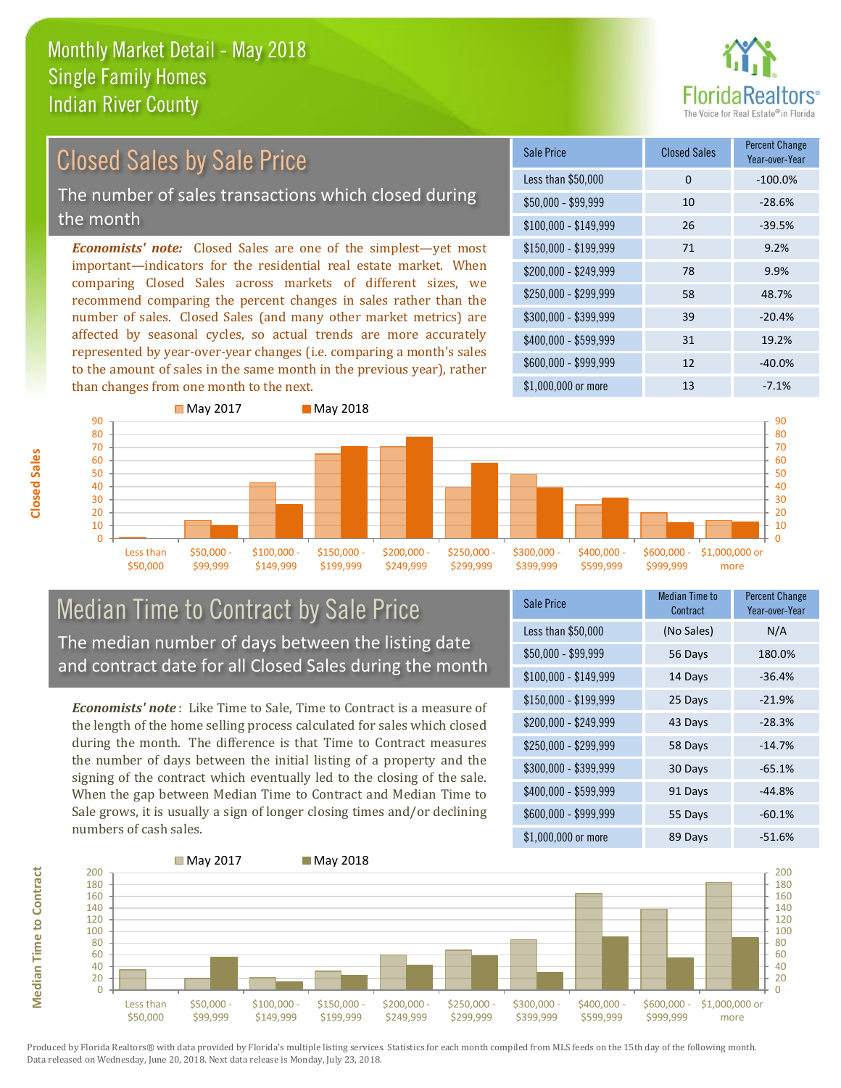

# Closed Sales by Sale Price

The number of sales transactions which closed during the month

*Economists' note:* Closed Sales are one of the simplest—yet most important—indicators for the residential real estate market. When comparing Closed Sales across markets of different sizes, we recommend comparing the percent changes in sales rather than the number of sales. Closed Sales (and many other market metrics) are affected by seasonal cycles, so actual trends are more accurately represented by year-over-year changes (i.e. comparing a month's sales to the amount of sales in the same month in the previous year), rather than changes from one month to the next.

| Sale Price            | <b>Closed Sales</b> | <b>Percent Change</b><br>Year-over-Year |
|-----------------------|---------------------|-----------------------------------------|
| Less than \$50,000    | $\Omega$            | $-100.0%$                               |
| $$50,000 - $99,999$   | 10                  | $-28.6%$                                |
| $$100,000 - $149,999$ | 26                  | $-39.5%$                                |
| $$150,000 - $199,999$ | 71                  | 9.2%                                    |
| \$200,000 - \$249,999 | 78                  | 9.9%                                    |
| \$250,000 - \$299,999 | 58                  | 48.7%                                   |
| \$300,000 - \$399,999 | 39                  | $-20.4%$                                |
| \$400,000 - \$599,999 | 31                  | 19.2%                                   |
| \$600,000 - \$999,999 | 12                  | $-40.0%$                                |
| \$1,000,000 or more   | 13                  | $-7.1%$                                 |



### Median Time to Contract by Sale Price The median number of days between the listing date and contract date for all Closed Sales during the month

*Economists' note* : Like Time to Sale, Time to Contract is a measure of the length of the home selling process calculated for sales which closed during the month. The difference is that Time to Contract measures the number of days between the initial listing of a property and the signing of the contract which eventually led to the closing of the sale. When the gap between Median Time to Contract and Median Time to Sale grows, it is usually a sign of longer closing times and/or declining numbers of cash sales.

| Sale Price            | Median Time to<br>Contract | <b>Percent Change</b><br>Year-over-Year |
|-----------------------|----------------------------|-----------------------------------------|
| Less than \$50,000    | (No Sales)                 | N/A                                     |
| $$50,000 - $99,999$   | 56 Days                    | 180.0%                                  |
| $$100,000 - $149,999$ | 14 Days                    | $-36.4%$                                |
| $$150,000 - $199,999$ | 25 Days                    | $-21.9%$                                |
| \$200,000 - \$249,999 | 43 Days                    | $-28.3%$                                |
| \$250,000 - \$299,999 | 58 Days                    | $-14.7%$                                |
| \$300,000 - \$399,999 | 30 Days                    | $-65.1%$                                |
| \$400,000 - \$599,999 | 91 Days                    | $-44.8%$                                |
| \$600,000 - \$999,999 | 55 Days                    | $-60.1%$                                |
| \$1,000,000 or more   | 89 Days                    | $-51.6%$                                |



Produced by Florida Realtors® with data provided by Florida's multiple listing services. Statistics for each month compiled from MLS feeds on the 15th day of the following month. Data released on Wednesday, June 20, 2018. Next data release is Monday, July 23, 2018.

**Median Time to Contract**

**Median Time to Contract**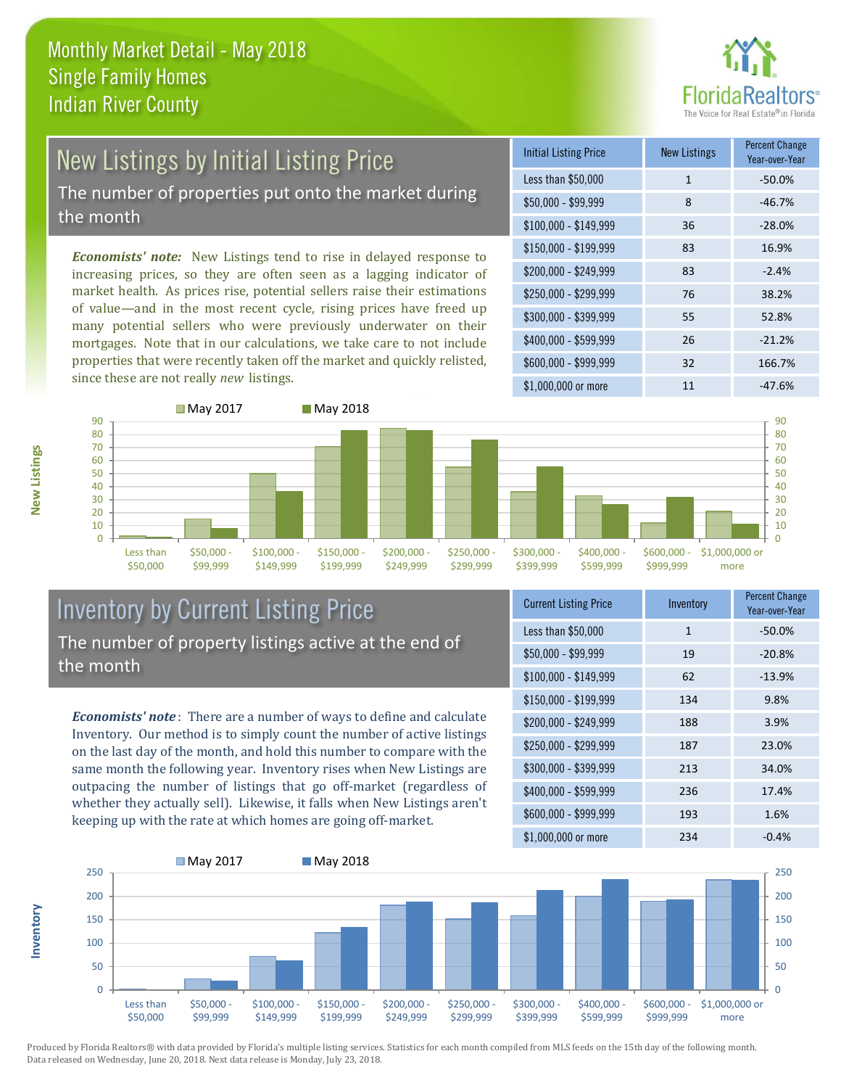

# New Listings by Initial Listing Price

The number of properties put onto the market during the month

*Economists' note:* New Listings tend to rise in delayed response to increasing prices, so they are often seen as a lagging indicator of market health. As prices rise, potential sellers raise their estimations of value—and in the most recent cycle, rising prices have freed up many potential sellers who were previously underwater on their mortgages. Note that in our calculations, we take care to not include properties that were recently taken off the market and quickly relisted, since these are not really *new* listings.

| <b>Initial Listing Price</b> | <b>New Listings</b> | <b>Percent Change</b><br>Year-over-Year |
|------------------------------|---------------------|-----------------------------------------|
| Less than \$50,000           | 1                   | $-50.0%$                                |
| \$50,000 - \$99,999          | 8                   | $-46.7%$                                |
| $$100,000 - $149,999$        | 36                  | $-28.0%$                                |
| $$150,000 - $199,999$        | 83                  | 16.9%                                   |
| \$200,000 - \$249,999        | 83                  | $-2.4%$                                 |
| \$250,000 - \$299,999        | 76                  | 38.2%                                   |
| \$300,000 - \$399,999        | 55                  | 52.8%                                   |
| \$400,000 - \$599,999        | 26                  | $-21.2%$                                |
| \$600,000 - \$999,999        | 32                  | 166.7%                                  |
| \$1,000,000 or more          | 11                  | $-47.6%$                                |



### Inventory by Current Listing Price The number of property listings active at the end of the month

*Economists' note* : There are a number of ways to define and calculate Inventory. Our method is to simply count the number of active listings on the last day of the month, and hold this number to compare with the same month the following year. Inventory rises when New Listings are outpacing the number of listings that go off-market (regardless of whether they actually sell). Likewise, it falls when New Listings aren't keeping up with the rate at which homes are going off-market.

| <b>Current Listing Price</b> | Inventory    | <b>Percent Change</b><br>Year-over-Year |
|------------------------------|--------------|-----------------------------------------|
| Less than \$50,000           | $\mathbf{1}$ | $-50.0%$                                |
| $$50,000 - $99,999$          | 19           | $-20.8%$                                |
| $$100,000 - $149,999$        | 62           | $-13.9%$                                |
| $$150,000 - $199,999$        | 134          | 9.8%                                    |
| \$200,000 - \$249,999        | 188          | 3.9%                                    |
| \$250,000 - \$299,999        | 187          | 23.0%                                   |
| \$300,000 - \$399,999        | 213          | 34.0%                                   |
| \$400,000 - \$599,999        | 236          | 17.4%                                   |
| \$600,000 - \$999,999        | 193          | 1.6%                                    |
| \$1,000,000 or more          | 234          | $-0.4%$                                 |



Produced by Florida Realtors® with data provided by Florida's multiple listing services. Statistics for each month compiled from MLS feeds on the 15th day of the following month. Data released on Wednesday, June 20, 2018. Next data release is Monday, July 23, 2018.

**Inventory**